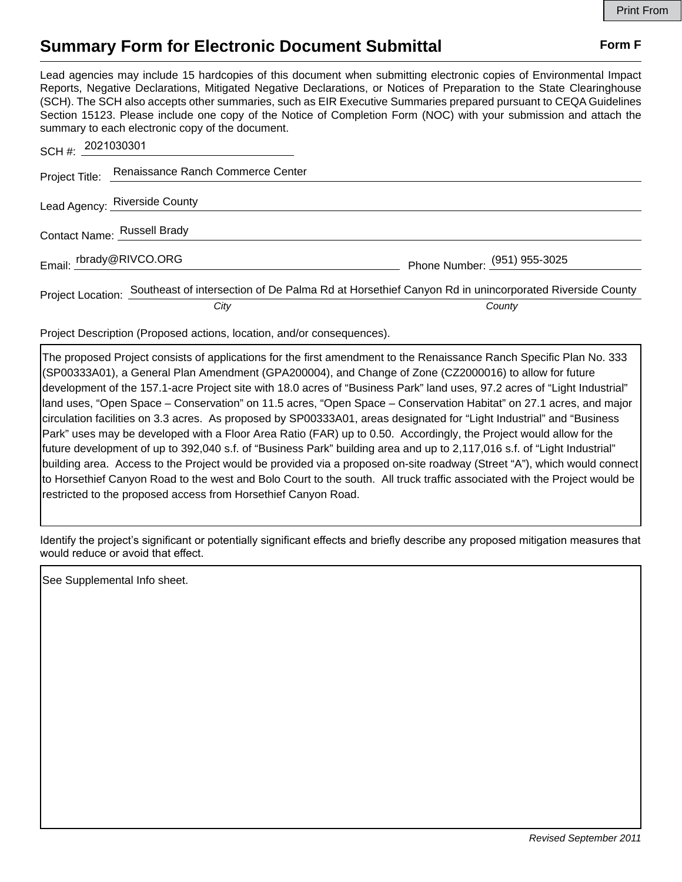## **Summary Form for Electronic Document Submittal Form F Form F**

Lead agencies may include 15 hardcopies of this document when submitting electronic copies of Environmental Impact Reports, Negative Declarations, Mitigated Negative Declarations, or Notices of Preparation to the State Clearinghouse (SCH). The SCH also accepts other summaries, such as EIR Executive Summaries prepared pursuant to CEQA Guidelines Section 15123. Please include one copy of the Notice of Completion Form (NOC) with your submission and attach the summary to each electronic copy of the document.

| SCH #: 2021030301           |                                                                                                                       |                              |
|-----------------------------|-----------------------------------------------------------------------------------------------------------------------|------------------------------|
|                             | Project Title: Renaissance Ranch Commerce Center                                                                      |                              |
|                             | Lead Agency: Riverside County                                                                                         |                              |
| Contact Name: Russell Brady |                                                                                                                       |                              |
| Email: rbrady@RIVCO.ORG     |                                                                                                                       | Phone Number: (951) 955-3025 |
|                             | Project Location: Southeast of intersection of De Palma Rd at Horsethief Canyon Rd in unincorporated Riverside County |                              |
|                             | City                                                                                                                  | County                       |

Project Description (Proposed actions, location, and/or consequences).

The proposed Project consists of applications for the first amendment to the Renaissance Ranch Specific Plan No. 333 (SP00333A01), a General Plan Amendment (GPA200004), and Change of Zone (CZ2000016) to allow for future development of the 157.1-acre Project site with 18.0 acres of "Business Park" land uses, 97.2 acres of "Light Industrial" land uses, "Open Space – Conservation" on 11.5 acres, "Open Space – Conservation Habitat" on 27.1 acres, and major circulation facilities on 3.3 acres. As proposed by SP00333A01, areas designated for "Light Industrial" and "Business Park" uses may be developed with a Floor Area Ratio (FAR) up to 0.50. Accordingly, the Project would allow for the future development of up to 392,040 s.f. of "Business Park" building area and up to 2,117,016 s.f. of "Light Industrial" building area. Access to the Project would be provided via a proposed on-site roadway (Street "A"), which would connect to Horsethief Canyon Road to the west and Bolo Court to the south. All truck traffic associated with the Project would be restricted to the proposed access from Horsethief Canyon Road.

Identify the project's significant or potentially significant effects and briefly describe any proposed mitigation measures that would reduce or avoid that effect.

See Supplemental Info sheet.